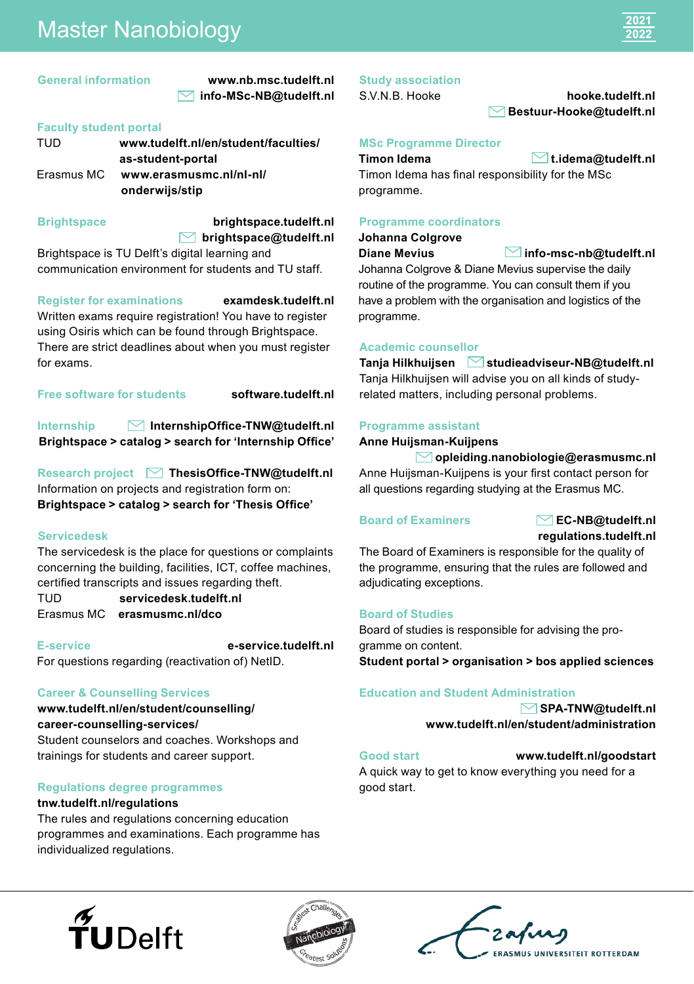# Master Nanobiology

#### **General information [www.nb.msc.tudelft.nl](http://www.NB.Msc.tudelft.nl) [info-MSc-NB@tudelft.nl](mailto:info-MSc-NB@tudelft.nl)**

### **Faculty student portal**

| TUD        | www.tudelft.nl/en/student/faculties/ |
|------------|--------------------------------------|
|            | as-student-portal                    |
| Erasmus MC | www.erasmusmc.nl/nl-nl/              |
|            | onderwijs/stip                       |
|            |                                      |

#### **Brightspace**

# **[brightspace@tudelft.nl](mailto:brightspace@tudelft.nl) [brightspace.tudelft.nl](http://brightspace.tudelft.nl)**

Brightspace is TU Delft's digital learning and communication environment for students and TU staff.

#### **Register for examinations [examdesk.tudelft.nl](http://examdesk.tudelft.nl)**

Written exams require registration! You have to register using Osiris which can be found through Brightspace. There are strict deadlines about when you must register for exams.

**Free software for students [software.tudelft.nl](http://software.tudelft.nl)**

**Internship [InternshipOffice-TNW@tudelft.nl](mailto:InternshipOffice-TNW@tudelft.nl) Brightspace > catalog > search for 'Internship Office'**

**Research project ▽ [ThesisOffice-TNW@tudelft.nl](mailto:ThesisOffice-TNW@tudelft.nl)** Information on projects and registration form on: **Brightspace > catalog > search for 'Thesis Office'**

#### **Servicedesk**

The servicedesk is the place for questions or complaints concerning the building, facilities, ICT, coffee machines, certified transcripts and issues regarding theft.

TUD **[servicedesk.tudelft.nl](http://servicedesk.tudelft.nl)** Erasmus MC **[erasmusmc.nl/dco](http://erasmusmc.nl/dco)**

**E-service [e-service.tudelft.nl](http://e-service.tudelft.nl)** For questions regarding (reactivation of) NetID.

### **Career & Counselling Services**

**[www.tudelft.nl/en/student/counselling/](http://www.tudelft.nl/en/student/counselling/) career-counselling-services/** Student counselors and coaches. Workshops and trainings for students and career support.

### **Regulations degree programmes**

#### **[tnw.tudelft.nl/regulations](http://tnw.tudelft.nl/regulations)**

The rules and regulations concerning education programmes and examinations. Each programme has individualized regulations.

### **Study association**

# S.V.N.B. Hooke **[hooke.tudelft.nl](http://hooke.tudelft.nl)  [Bestuur-Hooke@tudelft.nl](mailto:Bestuur-Hooke@tudelft.nl)**

# **MSc Programme Director**

**Timon Idema [t.idema@tudelft.nl](mailto:t.idema@tudelft.nl)**

Timon Idema has final responsibility for the MSc programme.

### **Programme coordinators**

**Johanna Colgrove**

**Diane Mevius [info-msc-nb@tudelft.nl](mailto:info-msc-nb@tudelft.nl)**

Johanna Colgrove & Diane Mevius supervise the daily routine of the programme. You can consult them if you have a problem with the organisation and logistics of the programme.

# **Academic counsellor**

**Tanja Hilkhuijsen [studieadviseur-NB@tudelft.nl](mailto:studieadviseur-NB@tudelft.nl)** Tanja Hilkhuijsen will advise you on all kinds of studyrelated matters, including personal problems.

#### **Programme assistant**

**Anne Huijsman-Kuijpens** 

 **[opleiding.nanobiologie@erasmusmc.nl](mailto:opleiding.nanobiologie@erasmusmc.nl)** Anne Huijsman-Kuijpens is your first contact person for all questions regarding studying at the Erasmus MC.

### **Board of Examiners [EC-NB@tudelft.nl](mailto:EC-NB@tudelft.nl)**

**[regulations.tudelft.nl](http://regulations.tudelft.nl)**

The Board of Examiners is responsible for the quality of the programme, ensuring that the rules are followed and adjudicating exceptions.

## **Board of Studies**

Board of studies is responsible for advising the programme on content.

**Student portal > organisation > bos applied sciences**

### **Education and Student Administration**

**[SPA-TNW@tudelft.nl](mailto:SPA-TNW@tudelft.nl) [www.tudelft.nl/en/student/administration](https://www.tudelft.nl/en/student/administration)**

**Good start [www.tudelft.nl/goodstart](http://www.tudelft.nl/goodstart)** A quick way to get to know everything you need for a good start.